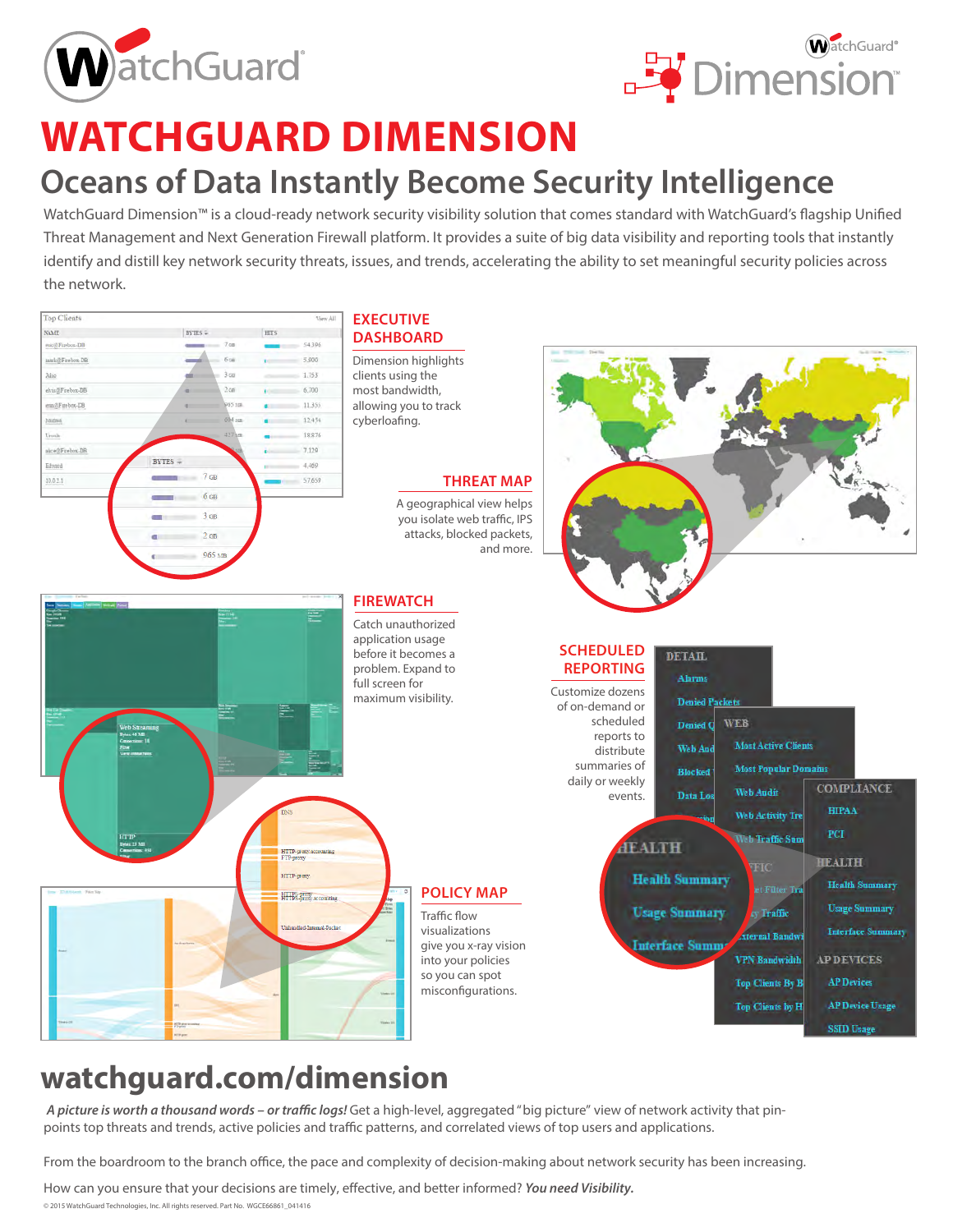



# **WATCHGUARD DIMENSION**

## **Oceans of Data Instantly Become Security Intelligence**

WatchGuard Dimension™ is a cloud-ready network security visibility solution that comes standard with WatchGuard's flagship Unified Threat Management and Next Generation Firewall platform. It provides a suite of big data visibility and reporting tools that instantly identify and distill key network security threats, issues, and trends, accelerating the ability to set meaningful security policies across the network.



## **watchguard.com/dimension**

*A picture is worth a thousand words – or traffic logs!* Get a high-level, aggregated "big picture" view of network activity that pinpoints top threats and trends, active policies and traffic patterns, and correlated views of top users and applications.

From the boardroom to the branch office, the pace and complexity of decision-making about network security has been increasing.

How can you ensure that your decisions are timely, effective, and better informed? *You need Visibility.*

© 2015 WatchGuard Technologies, Inc. All rights reserved. Part No. WGCE66861\_041416